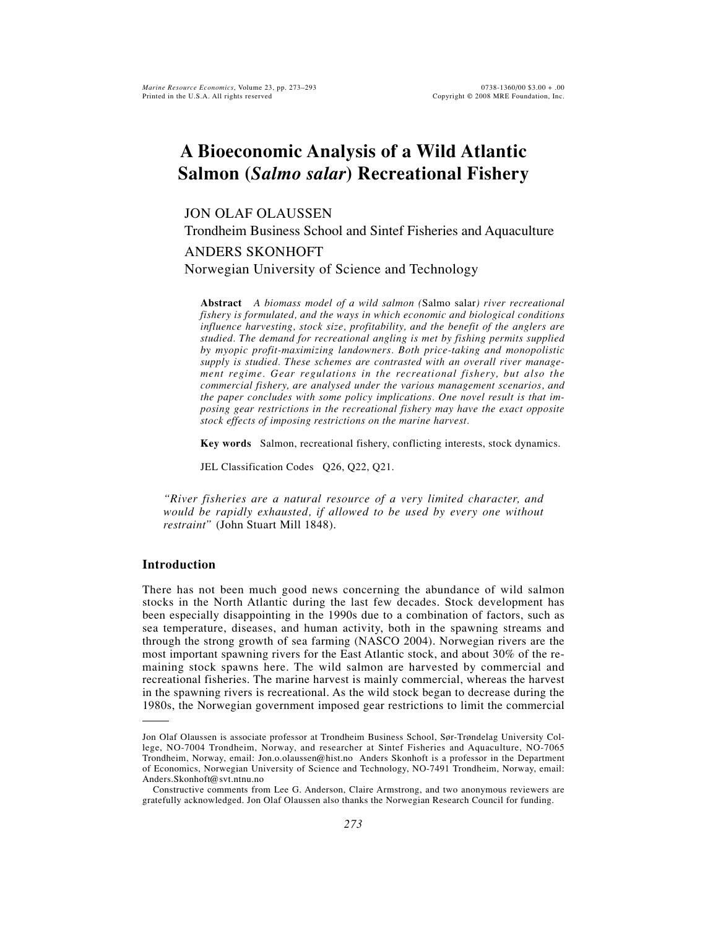# **A Bioeconomic Analysis of a Wild Atlantic Salmon (***Salmo salar***) Recreational Fishery**

# JON OLAF OLAUSSEN

Trondheim Business School and Sintef Fisheries and Aquaculture

# ANDERS SKONHOFT

Norwegian University of Science and Technology

**Abstract** *A biomass model of a wild salmon (*Salmo salar*) river recreational fishery is formulated, and the ways in which economic and biological conditions influence harvesting, stock size, profitability, and the benefit of the anglers are studied. The demand for recreational angling is met by fishing permits supplied by myopic profit-maximizing landowners. Both price-taking and monopolistic supply is studied. These schemes are contrasted with an overall river management regime. Gear regulations in the recreational fishery, but also the commercial fishery, are analysed under the various management scenarios, and the paper concludes with some policy implications. One novel result is that imposing gear restrictions in the recreational fishery may have the exact opposite stock effects of imposing restrictions on the marine harvest.*

**Key words** Salmon, recreational fishery, conflicting interests, stock dynamics.

JEL Classification Codes Q26, Q22, Q21.

*"River fisheries are a natural resource of a very limited character, and would be rapidly exhausted, if allowed to be used by every one without restraint"* (John Stuart Mill 1848).

# **Introduction**

There has not been much good news concerning the abundance of wild salmon stocks in the North Atlantic during the last few decades. Stock development has been especially disappointing in the 1990s due to a combination of factors, such as sea temperature, diseases, and human activity, both in the spawning streams and through the strong growth of sea farming (NASCO 2004). Norwegian rivers are the most important spawning rivers for the East Atlantic stock, and about 30% of the remaining stock spawns here. The wild salmon are harvested by commercial and recreational fisheries. The marine harvest is mainly commercial, whereas the harvest in the spawning rivers is recreational. As the wild stock began to decrease during the 1980s, the Norwegian government imposed gear restrictions to limit the commercial

Jon Olaf Olaussen is associate professor at Trondheim Business School, Sør-Trøndelag University College, NO-7004 Trondheim, Norway, and researcher at Sintef Fisheries and Aquaculture, NO-7065 Trondheim, Norway, email: Jon.o.olaussen@hist.no Anders Skonhoft is a professor in the Department of Economics, Norwegian University of Science and Technology, NO-7491 Trondheim, Norway, email: Anders.Skonhoft@svt.ntnu.no

Constructive comments from Lee G. Anderson, Claire Armstrong, and two anonymous reviewers are gratefully acknowledged. Jon Olaf Olaussen also thanks the Norwegian Research Council for funding.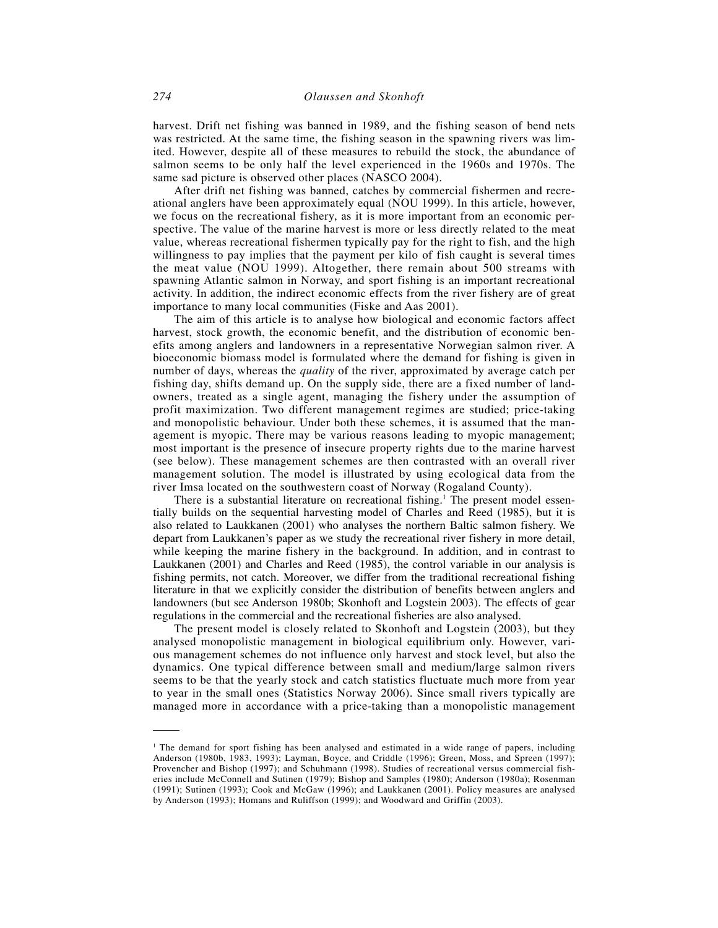harvest. Drift net fishing was banned in 1989, and the fishing season of bend nets was restricted. At the same time, the fishing season in the spawning rivers was limited. However, despite all of these measures to rebuild the stock, the abundance of salmon seems to be only half the level experienced in the 1960s and 1970s. The same sad picture is observed other places (NASCO 2004).

After drift net fishing was banned, catches by commercial fishermen and recreational anglers have been approximately equal (NOU 1999). In this article, however, we focus on the recreational fishery, as it is more important from an economic perspective. The value of the marine harvest is more or less directly related to the meat value, whereas recreational fishermen typically pay for the right to fish, and the high willingness to pay implies that the payment per kilo of fish caught is several times the meat value (NOU 1999). Altogether, there remain about 500 streams with spawning Atlantic salmon in Norway, and sport fishing is an important recreational activity. In addition, the indirect economic effects from the river fishery are of great importance to many local communities (Fiske and Aas 2001).

The aim of this article is to analyse how biological and economic factors affect harvest, stock growth, the economic benefit, and the distribution of economic benefits among anglers and landowners in a representative Norwegian salmon river. A bioeconomic biomass model is formulated where the demand for fishing is given in number of days, whereas the *quality* of the river, approximated by average catch per fishing day, shifts demand up. On the supply side, there are a fixed number of landowners, treated as a single agent, managing the fishery under the assumption of profit maximization. Two different management regimes are studied; price-taking and monopolistic behaviour. Under both these schemes, it is assumed that the management is myopic. There may be various reasons leading to myopic management; most important is the presence of insecure property rights due to the marine harvest (see below). These management schemes are then contrasted with an overall river management solution. The model is illustrated by using ecological data from the river Imsa located on the southwestern coast of Norway (Rogaland County).

There is a substantial literature on recreational fishing.<sup>1</sup> The present model essentially builds on the sequential harvesting model of Charles and Reed (1985), but it is also related to Laukkanen (2001) who analyses the northern Baltic salmon fishery. We depart from Laukkanen's paper as we study the recreational river fishery in more detail, while keeping the marine fishery in the background. In addition, and in contrast to Laukkanen (2001) and Charles and Reed (1985), the control variable in our analysis is fishing permits, not catch. Moreover, we differ from the traditional recreational fishing literature in that we explicitly consider the distribution of benefits between anglers and landowners (but see Anderson 1980b; Skonhoft and Logstein 2003). The effects of gear regulations in the commercial and the recreational fisheries are also analysed.

The present model is closely related to Skonhoft and Logstein (2003), but they analysed monopolistic management in biological equilibrium only. However, various management schemes do not influence only harvest and stock level, but also the dynamics. One typical difference between small and medium/large salmon rivers seems to be that the yearly stock and catch statistics fluctuate much more from year to year in the small ones (Statistics Norway 2006). Since small rivers typically are managed more in accordance with a price-taking than a monopolistic management

<sup>&</sup>lt;sup>1</sup> The demand for sport fishing has been analysed and estimated in a wide range of papers, including Anderson (1980b, 1983, 1993); Layman, Boyce, and Criddle (1996); Green, Moss, and Spreen (1997); Provencher and Bishop (1997); and Schuhmann (1998). Studies of recreational versus commercial fisheries include McConnell and Sutinen (1979); Bishop and Samples (1980); Anderson (1980a); Rosenman (1991); Sutinen (1993); Cook and McGaw (1996); and Laukkanen (2001). Policy measures are analysed by Anderson (1993); Homans and Ruliffson (1999); and Woodward and Griffin (2003).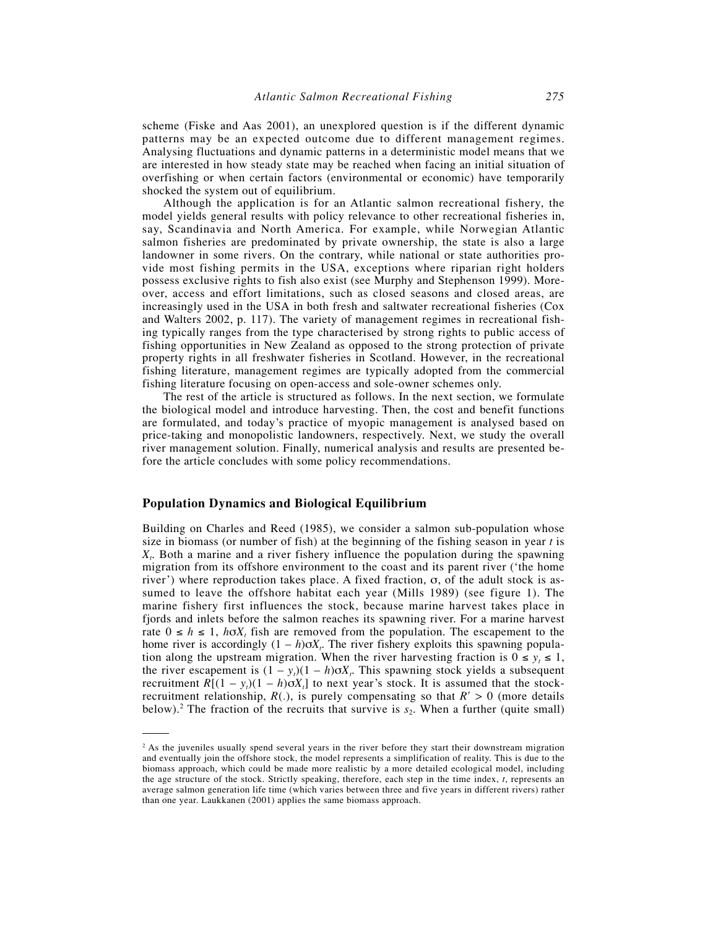scheme (Fiske and Aas 2001), an unexplored question is if the different dynamic patterns may be an expected outcome due to different management regimes. Analysing fluctuations and dynamic patterns in a deterministic model means that we are interested in how steady state may be reached when facing an initial situation of overfishing or when certain factors (environmental or economic) have temporarily shocked the system out of equilibrium.

Although the application is for an Atlantic salmon recreational fishery, the model yields general results with policy relevance to other recreational fisheries in, say, Scandinavia and North America. For example, while Norwegian Atlantic salmon fisheries are predominated by private ownership, the state is also a large landowner in some rivers. On the contrary, while national or state authorities provide most fishing permits in the USA, exceptions where riparian right holders possess exclusive rights to fish also exist (see Murphy and Stephenson 1999). Moreover, access and effort limitations, such as closed seasons and closed areas, are increasingly used in the USA in both fresh and saltwater recreational fisheries (Cox and Walters 2002, p. 117). The variety of management regimes in recreational fishing typically ranges from the type characterised by strong rights to public access of fishing opportunities in New Zealand as opposed to the strong protection of private property rights in all freshwater fisheries in Scotland. However, in the recreational fishing literature, management regimes are typically adopted from the commercial fishing literature focusing on open-access and sole-owner schemes only.

The rest of the article is structured as follows. In the next section, we formulate the biological model and introduce harvesting. Then, the cost and benefit functions are formulated, and today's practice of myopic management is analysed based on price-taking and monopolistic landowners, respectively. Next, we study the overall river management solution. Finally, numerical analysis and results are presented before the article concludes with some policy recommendations.

#### **Population Dynamics and Biological Equilibrium**

Building on Charles and Reed (1985), we consider a salmon sub-population whose size in biomass (or number of fish) at the beginning of the fishing season in year *t* is *Xt* . Both a marine and a river fishery influence the population during the spawning migration from its offshore environment to the coast and its parent river ('the home river') where reproduction takes place. A fixed fraction, σ, of the adult stock is assumed to leave the offshore habitat each year (Mills 1989) (see figure 1). The marine fishery first influences the stock, because marine harvest takes place in fjords and inlets before the salmon reaches its spawning river. For a marine harvest rate  $0 \le h \le 1$ ,  $h \sigma X_t$  fish are removed from the population. The escapement to the home river is accordingly  $(1 - h)\sigma X_t$ . The river fishery exploits this spawning population along the upstream migration. When the river harvesting fraction is  $0 \le y_t \le 1$ , the river escapement is  $(1 - y_t)(1 - h)\sigma X_t$ . This spawning stock yields a subsequent recruitment  $R[(1 - y_t)(1 - h)\sigma X_t]$  to next year's stock. It is assumed that the stockrecruitment relationship,  $R(.)$ , is purely compensating so that  $R' > 0$  (more details below).<sup>2</sup> The fraction of the recruits that survive is  $s_2$ . When a further (quite small)

<sup>&</sup>lt;sup>2</sup> As the juveniles usually spend several years in the river before they start their downstream migration and eventually join the offshore stock, the model represents a simplification of reality. This is due to the biomass approach, which could be made more realistic by a more detailed ecological model, including the age structure of the stock. Strictly speaking, therefore, each step in the time index, *t*, represents an average salmon generation life time (which varies between three and five years in different rivers) rather than one year. Laukkanen (2001) applies the same biomass approach.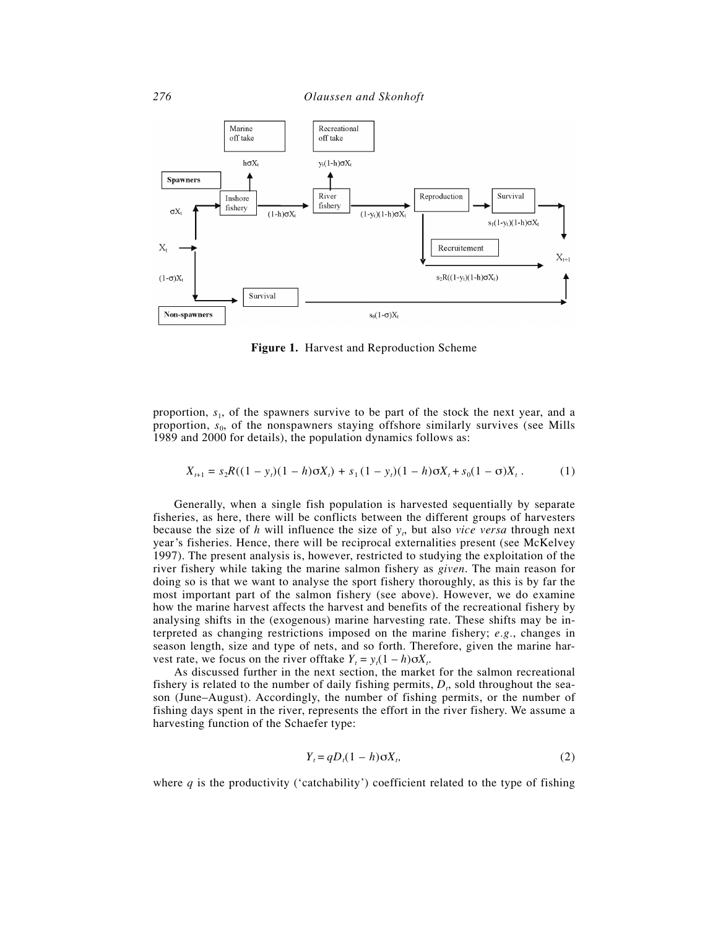

**Figure 1.** Harvest and Reproduction Scheme

proportion, *s*1, of the spawners survive to be part of the stock the next year, and a proportion,  $s_0$ , of the nonspawners staying offshore similarly survives (see Mills 1989 and 2000 for details), the population dynamics follows as:

$$
X_{t+1} = s_2 R((1 - y_t)(1 - h)\sigma X_t) + s_1 (1 - y_t)(1 - h)\sigma X_t + s_0 (1 - \sigma) X_t.
$$
 (1)

Generally, when a single fish population is harvested sequentially by separate fisheries, as here, there will be conflicts between the different groups of harvesters because the size of *h* will influence the size of *y<sub>t</sub>*, but also *vice versa* through next year's fisheries. Hence, there will be reciprocal externalities present (see McKelvey 1997). The present analysis is, however, restricted to studying the exploitation of the river fishery while taking the marine salmon fishery as *given*. The main reason for doing so is that we want to analyse the sport fishery thoroughly, as this is by far the most important part of the salmon fishery (see above). However, we do examine how the marine harvest affects the harvest and benefits of the recreational fishery by analysing shifts in the (exogenous) marine harvesting rate. These shifts may be interpreted as changing restrictions imposed on the marine fishery; *e.g.*, changes in season length, size and type of nets, and so forth. Therefore, given the marine harvest rate, we focus on the river of ftake  $Y_t = y_t(1 - h)\sigma X_t$ .

As discussed further in the next section, the market for the salmon recreational fishery is related to the number of daily fishing permits,  $D_t$ , sold throughout the season (June–August). Accordingly, the number of fishing permits, or the number of fishing days spent in the river, represents the effort in the river fishery. We assume a harvesting function of the Schaefer type:

$$
Y_t = qD_t(1-h)\sigma X_t,\tag{2}
$$

where  $q$  is the productivity ('catchability') coefficient related to the type of fishing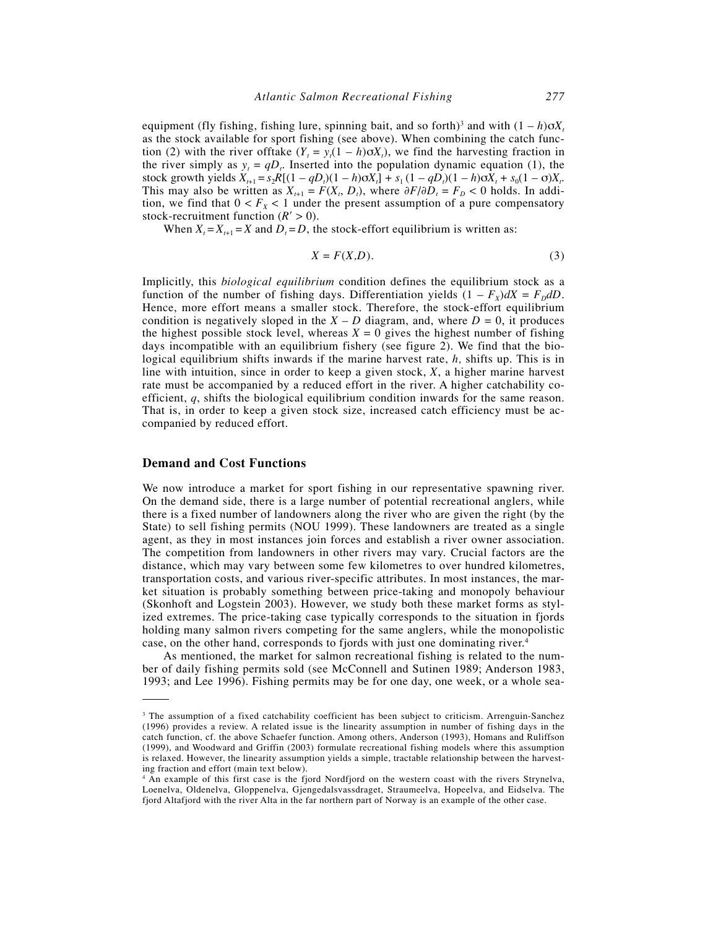equipment (fly fishing, fishing lure, spinning bait, and so forth)<sup>3</sup> and with  $(1 - h)\sigma X_t$ as the stock available for sport fishing (see above). When combining the catch function (2) with the river offtake  $(Y_t = y_t(1 - h)\sigma X_t)$ , we find the harvesting fraction in the river simply as  $y_t = qD_t$ . Inserted into the population dynamic equation (1), the stock growth yields  $X_{t+1} = s_2 R[(1 - qD_t)(1 - h)\sigma X_t] + s_1 (1 - qD_t)(1 - h)\sigma X_t + s_0 (1 - \sigma)X_t$ . This may also be written as  $X_{t+1} = F(X_t, D_t)$ , where  $\partial F/\partial D_t = F_D < 0$  holds. In addition, we find that  $0 < F<sub>x</sub> < 1$  under the present assumption of a pure compensatory stock-recruitment function  $(R' > 0)$ .

When  $X_t = X_{t+1} = X$  and  $D_t = D$ , the stock-effort equilibrium is written as:

$$
X = F(X, D). \tag{3}
$$

Implicitly, this *biological equilibrium* condition defines the equilibrium stock as a function of the number of fishing days. Differentiation yields  $(1 - F_X)dX = F_D dD$ . Hence, more effort means a smaller stock. Therefore, the stock-effort equilibrium condition is negatively sloped in the  $X - D$  diagram, and, where  $D = 0$ , it produces the highest possible stock level, whereas  $X = 0$  gives the highest number of fishing days incompatible with an equilibrium fishery (see figure 2). We find that the biological equilibrium shifts inwards if the marine harvest rate, *h,* shifts up. This is in line with intuition, since in order to keep a given stock, *X*, a higher marine harvest rate must be accompanied by a reduced effort in the river. A higher catchability coefficient, *q*, shifts the biological equilibrium condition inwards for the same reason. That is, in order to keep a given stock size, increased catch efficiency must be accompanied by reduced effort.

## **Demand and Cost Functions**

We now introduce a market for sport fishing in our representative spawning river. On the demand side, there is a large number of potential recreational anglers, while there is a fixed number of landowners along the river who are given the right (by the State) to sell fishing permits (NOU 1999). These landowners are treated as a single agent, as they in most instances join forces and establish a river owner association. The competition from landowners in other rivers may vary. Crucial factors are the distance, which may vary between some few kilometres to over hundred kilometres, transportation costs, and various river-specific attributes. In most instances, the market situation is probably something between price-taking and monopoly behaviour (Skonhoft and Logstein 2003). However, we study both these market forms as stylized extremes. The price-taking case typically corresponds to the situation in fjords holding many salmon rivers competing for the same anglers, while the monopolistic case, on the other hand, corresponds to fjords with just one dominating river.4

As mentioned, the market for salmon recreational fishing is related to the number of daily fishing permits sold (see McConnell and Sutinen 1989; Anderson 1983, 1993; and Lee 1996). Fishing permits may be for one day, one week, or a whole sea-

<sup>&</sup>lt;sup>3</sup> The assumption of a fixed catchability coefficient has been subject to criticism. Arrenguin-Sanchez (1996) provides a review. A related issue is the linearity assumption in number of fishing days in the catch function, cf. the above Schaefer function. Among others, Anderson (1993), Homans and Ruliffson (1999), and Woodward and Griffin (2003) formulate recreational fishing models where this assumption is relaxed. However, the linearity assumption yields a simple, tractable relationship between the harvesting fraction and effort (main text below).

<sup>4</sup> An example of this first case is the fjord Nordfjord on the western coast with the rivers Strynelva, Loenelva, Oldenelva, Gloppenelva, Gjengedalsvassdraget, Straumeelva, Hopeelva, and Eidselva. The fjord Altafjord with the river Alta in the far northern part of Norway is an example of the other case.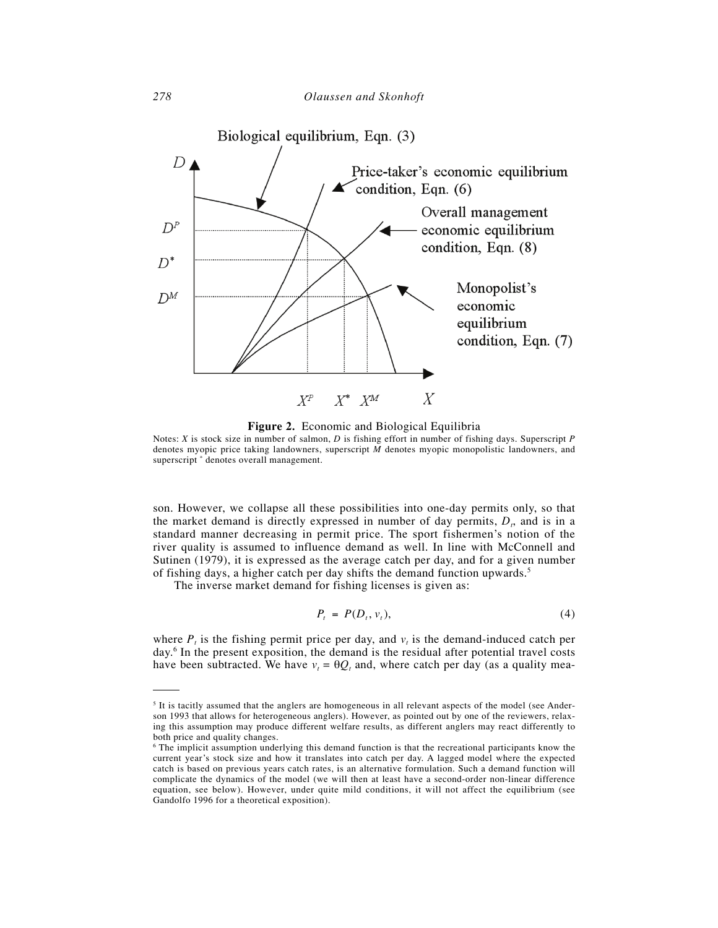

**Figure 2.** Economic and Biological Equilibria

Notes: *X* is stock size in number of salmon, *D* is fishing effort in number of fishing days. Superscript *P* denotes myopic price taking landowners, superscript *M* denotes myopic monopolistic landowners, and superscript \* denotes overall management.

son. However, we collapse all these possibilities into one-day permits only, so that the market demand is directly expressed in number of day permits,  $D_t$ , and is in a standard manner decreasing in permit price. The sport fishermen's notion of the river quality is assumed to influence demand as well. In line with McConnell and Sutinen (1979), it is expressed as the average catch per day, and for a given number of fishing days, a higher catch per day shifts the demand function upwards.<sup>5</sup>

The inverse market demand for fishing licenses is given as:

$$
P_t = P(D_t, v_t), \tag{4}
$$

where  $P_t$  is the fishing permit price per day, and  $v_t$  is the demand-induced catch per day.6 In the present exposition, the demand is the residual after potential travel costs have been subtracted. We have  $v_t = \theta Q_t$  and, where catch per day (as a quality mea-

<sup>&</sup>lt;sup>5</sup> It is tacitly assumed that the anglers are homogeneous in all relevant aspects of the model (see Anderson 1993 that allows for heterogeneous anglers). However, as pointed out by one of the reviewers, relaxing this assumption may produce different welfare results, as different anglers may react differently to both price and quality changes.

<sup>6</sup> The implicit assumption underlying this demand function is that the recreational participants know the current year's stock size and how it translates into catch per day. A lagged model where the expected catch is based on previous years catch rates, is an alternative formulation. Such a demand function will complicate the dynamics of the model (we will then at least have a second-order non-linear difference equation, see below). However, under quite mild conditions, it will not affect the equilibrium (see Gandolfo 1996 for a theoretical exposition).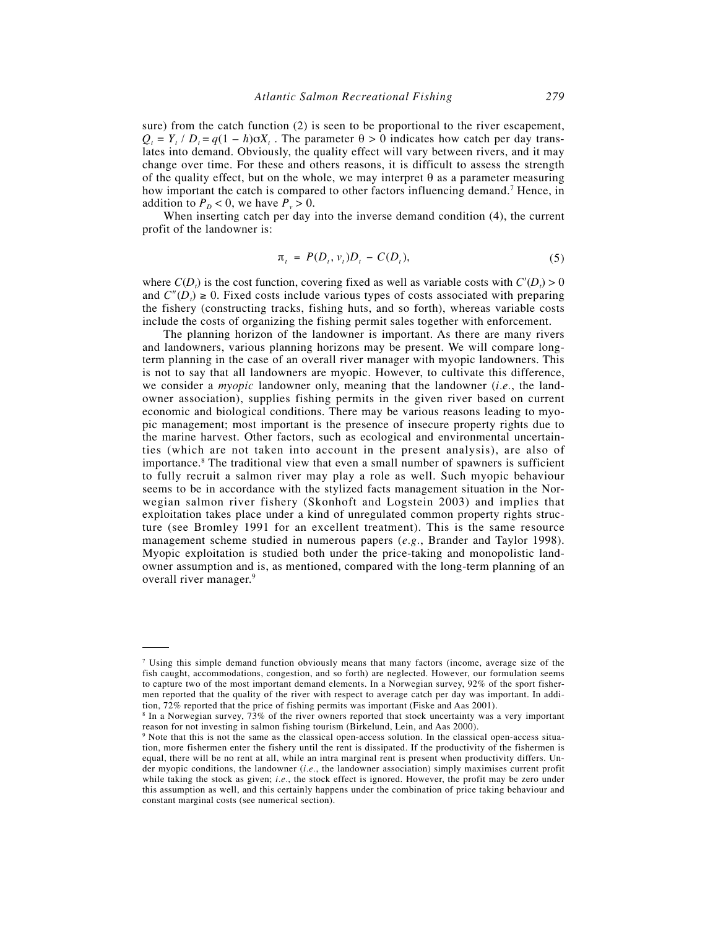sure) from the catch function (2) is seen to be proportional to the river escapement,  $Q_t = Y_t / D_t = q(1 - h)\sigma X_t$ . The parameter  $\theta > 0$  indicates how catch per day translates into demand. Obviously, the quality effect will vary between rivers, and it may change over time. For these and others reasons, it is difficult to assess the strength of the quality effect, but on the whole, we may interpret  $\theta$  as a parameter measuring how important the catch is compared to other factors influencing demand.<sup>7</sup> Hence, in addition to  $P_p < 0$ , we have  $P_v > 0$ .

When inserting catch per day into the inverse demand condition (4), the current profit of the landowner is:

$$
\pi_t = P(D_t, v_t)D_t - C(D_t),
$$
\n(5)

where  $C(D<sub>t</sub>)$  is the cost function, covering fixed as well as variable costs with  $C'(D<sub>t</sub>) > 0$ and  $C''(D_t) \ge 0$ . Fixed costs include various types of costs associated with preparing the fishery (constructing tracks, fishing huts, and so forth), whereas variable costs include the costs of organizing the fishing permit sales together with enforcement.

The planning horizon of the landowner is important. As there are many rivers and landowners, various planning horizons may be present. We will compare longterm planning in the case of an overall river manager with myopic landowners. This is not to say that all landowners are myopic. However, to cultivate this difference, we consider a *myopic* landowner only, meaning that the landowner (*i.e.*, the landowner association), supplies fishing permits in the given river based on current economic and biological conditions. There may be various reasons leading to myopic management; most important is the presence of insecure property rights due to the marine harvest. Other factors, such as ecological and environmental uncertainties (which are not taken into account in the present analysis), are also of importance.<sup>8</sup> The traditional view that even a small number of spawners is sufficient to fully recruit a salmon river may play a role as well. Such myopic behaviour seems to be in accordance with the stylized facts management situation in the Norwegian salmon river fishery (Skonhoft and Logstein 2003) and implies that exploitation takes place under a kind of unregulated common property rights structure (see Bromley 1991 for an excellent treatment). This is the same resource management scheme studied in numerous papers (*e.g.*, Brander and Taylor 1998). Myopic exploitation is studied both under the price-taking and monopolistic landowner assumption and is, as mentioned, compared with the long-term planning of an overall river manager.<sup>9</sup>

<sup>7</sup> Using this simple demand function obviously means that many factors (income, average size of the fish caught, accommodations, congestion, and so forth) are neglected. However, our formulation seems to capture two of the most important demand elements. In a Norwegian survey, 92% of the sport fishermen reported that the quality of the river with respect to average catch per day was important. In addition, 72% reported that the price of fishing permits was important (Fiske and Aas 2001).

<sup>8</sup> In a Norwegian survey, 73% of the river owners reported that stock uncertainty was a very important reason for not investing in salmon fishing tourism (Birkelund, Lein, and Aas 2000).

<sup>&</sup>lt;sup>9</sup> Note that this is not the same as the classical open-access solution. In the classical open-access situation, more fishermen enter the fishery until the rent is dissipated. If the productivity of the fishermen is equal, there will be no rent at all, while an intra marginal rent is present when productivity differs. Under myopic conditions, the landowner (*i.e.*, the landowner association) simply maximises current profit while taking the stock as given; *i.e.*, the stock effect is ignored. However, the profit may be zero under this assumption as well, and this certainly happens under the combination of price taking behaviour and constant marginal costs (see numerical section).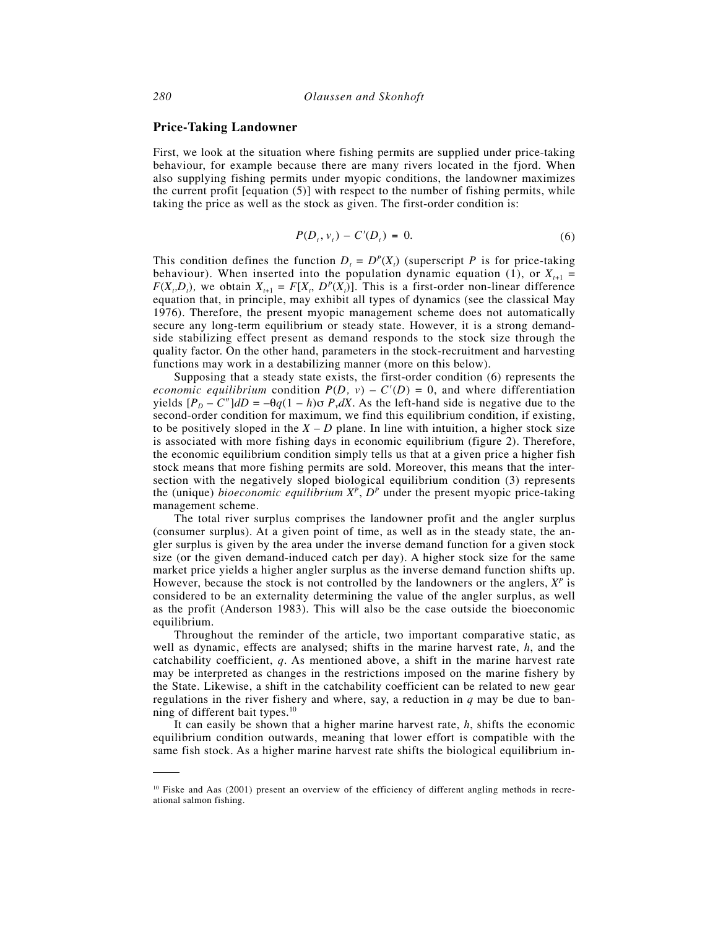#### **Price-Taking Landowner**

First, we look at the situation where fishing permits are supplied under price-taking behaviour, for example because there are many rivers located in the fjord. When also supplying fishing permits under myopic conditions, the landowner maximizes the current profit [equation (5)] with respect to the number of fishing permits, while taking the price as well as the stock as given. The first-order condition is:

$$
P(D_t, v_t) - C'(D_t) = 0.
$$
 (6)

This condition defines the function  $D_t = D^P(X_t)$  (superscript *P* is for price-taking behaviour). When inserted into the population dynamic equation (1), or  $X_{t+1}$  =  $F(X_t, D_t)$ , we obtain  $X_{t+1} = F[X_t, D^P(X_t)]$ . This is a first-order non-linear difference equation that, in principle, may exhibit all types of dynamics (see the classical May 1976). Therefore, the present myopic management scheme does not automatically secure any long-term equilibrium or steady state. However, it is a strong demandside stabilizing effect present as demand responds to the stock size through the quality factor. On the other hand, parameters in the stock-recruitment and harvesting functions may work in a destabilizing manner (more on this below).

Supposing that a steady state exists, the first-order condition (6) represents the *economic equilibrium* condition  $P(D, v) - C'(D) = 0$ , and where differentiation yields  $[P_D - C'']dD = -\theta q(1 - h)\sigma P_ydX$ . As the left-hand side is negative due to the second-order condition for maximum, we find this equilibrium condition, if existing, to be positively sloped in the  $X - D$  plane. In line with intuition, a higher stock size is associated with more fishing days in economic equilibrium (figure 2). Therefore, the economic equilibrium condition simply tells us that at a given price a higher fish stock means that more fishing permits are sold. Moreover, this means that the intersection with the negatively sloped biological equilibrium condition (3) represents the (unique) *bioeconomic equilibrium*  $X^P$ ,  $D^P$  under the present myopic price-taking management scheme.

The total river surplus comprises the landowner profit and the angler surplus (consumer surplus). At a given point of time, as well as in the steady state, the angler surplus is given by the area under the inverse demand function for a given stock size (or the given demand-induced catch per day). A higher stock size for the same market price yields a higher angler surplus as the inverse demand function shifts up. However, because the stock is not controlled by the landowners or the anglers,  $X^P$  is considered to be an externality determining the value of the angler surplus, as well as the profit (Anderson 1983). This will also be the case outside the bioeconomic equilibrium.

Throughout the reminder of the article, two important comparative static, as well as dynamic, effects are analysed; shifts in the marine harvest rate, *h*, and the catchability coefficient, *q*. As mentioned above, a shift in the marine harvest rate may be interpreted as changes in the restrictions imposed on the marine fishery by the State. Likewise, a shift in the catchability coefficient can be related to new gear regulations in the river fishery and where, say, a reduction in *q* may be due to banning of different bait types. $10$ 

It can easily be shown that a higher marine harvest rate, *h*, shifts the economic equilibrium condition outwards, meaning that lower effort is compatible with the same fish stock. As a higher marine harvest rate shifts the biological equilibrium in-

<sup>&</sup>lt;sup>10</sup> Fiske and Aas (2001) present an overview of the efficiency of different angling methods in recreational salmon fishing.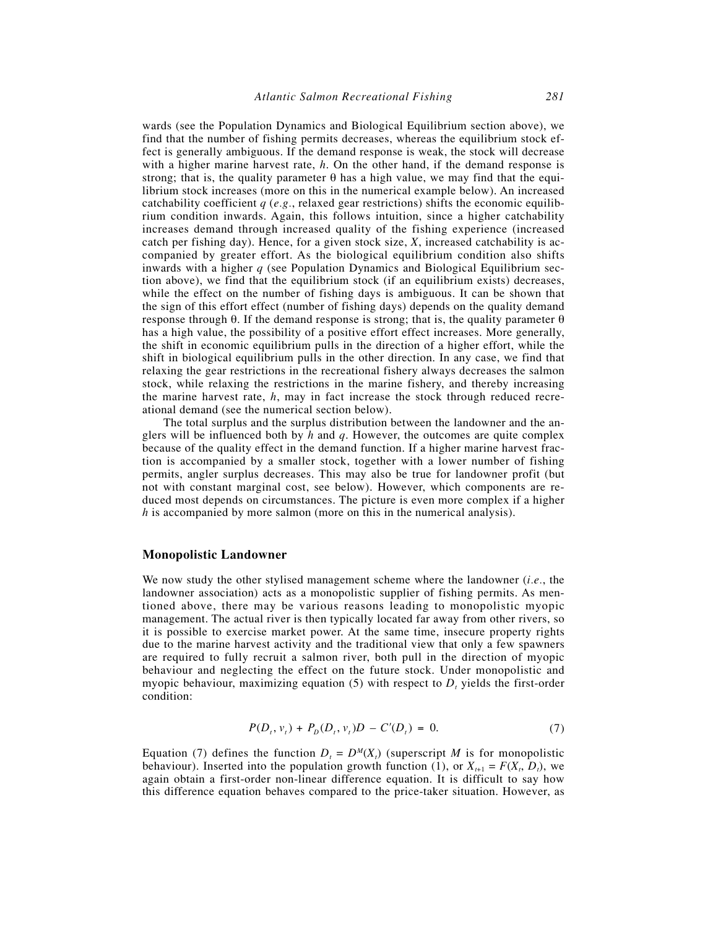wards (see the Population Dynamics and Biological Equilibrium section above), we find that the number of fishing permits decreases, whereas the equilibrium stock effect is generally ambiguous. If the demand response is weak, the stock will decrease with a higher marine harvest rate, *h*. On the other hand, if the demand response is strong; that is, the quality parameter  $\theta$  has a high value, we may find that the equilibrium stock increases (more on this in the numerical example below). An increased catchability coefficient  $q$  (*e.g.*, relaxed gear restrictions) shifts the economic equilibrium condition inwards. Again, this follows intuition, since a higher catchability increases demand through increased quality of the fishing experience (increased catch per fishing day). Hence, for a given stock size, *X*, increased catchability is accompanied by greater effort. As the biological equilibrium condition also shifts inwards with a higher *q* (see Population Dynamics and Biological Equilibrium section above), we find that the equilibrium stock (if an equilibrium exists) decreases, while the effect on the number of fishing days is ambiguous. It can be shown that the sign of this effort effect (number of fishing days) depends on the quality demand response through θ. If the demand response is strong; that is, the quality parameter θ has a high value, the possibility of a positive effort effect increases. More generally, the shift in economic equilibrium pulls in the direction of a higher effort, while the shift in biological equilibrium pulls in the other direction. In any case, we find that relaxing the gear restrictions in the recreational fishery always decreases the salmon stock, while relaxing the restrictions in the marine fishery, and thereby increasing the marine harvest rate, *h*, may in fact increase the stock through reduced recreational demand (see the numerical section below).

The total surplus and the surplus distribution between the landowner and the anglers will be influenced both by *h* and *q*. However, the outcomes are quite complex because of the quality effect in the demand function. If a higher marine harvest fraction is accompanied by a smaller stock, together with a lower number of fishing permits, angler surplus decreases. This may also be true for landowner profit (but not with constant marginal cost, see below). However, which components are reduced most depends on circumstances. The picture is even more complex if a higher *h* is accompanied by more salmon (more on this in the numerical analysis).

### **Monopolistic Landowner**

We now study the other stylised management scheme where the landowner (*i.e.*, the landowner association) acts as a monopolistic supplier of fishing permits. As mentioned above, there may be various reasons leading to monopolistic myopic management. The actual river is then typically located far away from other rivers, so it is possible to exercise market power. At the same time, insecure property rights due to the marine harvest activity and the traditional view that only a few spawners are required to fully recruit a salmon river, both pull in the direction of myopic behaviour and neglecting the effect on the future stock. Under monopolistic and myopic behaviour, maximizing equation  $(5)$  with respect to  $D<sub>t</sub>$  yields the first-order condition:

$$
P(D_t, v_t) + P_D(D_t, v_t)D - C'(D_t) = 0.
$$
\n(7)

Equation (7) defines the function  $D_t = D^M(X_t)$  (superscript *M* is for monopolistic behaviour). Inserted into the population growth function (1), or  $X_{t+1} = F(X_t, D_t)$ , we again obtain a first-order non-linear difference equation. It is difficult to say how this difference equation behaves compared to the price-taker situation. However, as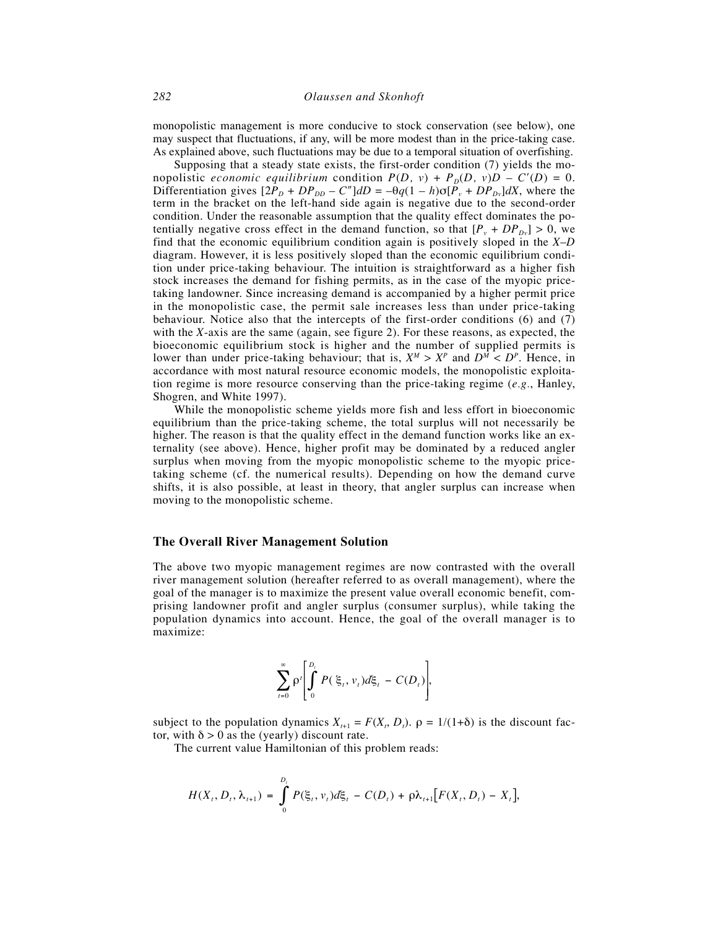monopolistic management is more conducive to stock conservation (see below), one may suspect that fluctuations, if any, will be more modest than in the price-taking case. As explained above, such fluctuations may be due to a temporal situation of overfishing.

Supposing that a steady state exists, the first-order condition (7) yields the monopolistic *economic equilibrium* condition  $P(D, v) + P_D(D, v)D - C'(D) = 0$ . Differentiation gives  $[2P_D + DP_{DD} - C'']dD = -\theta q(1 - h)\sigma[P_v + DP_{Dv}]dX$ , where the term in the bracket on the left-hand side again is negative due to the second-order condition. Under the reasonable assumption that the quality effect dominates the potentially negative cross effect in the demand function, so that  $[P_v + DP_{Dv}] > 0$ , we find that the economic equilibrium condition again is positively sloped in the *X*–*D* diagram. However, it is less positively sloped than the economic equilibrium condition under price-taking behaviour. The intuition is straightforward as a higher fish stock increases the demand for fishing permits, as in the case of the myopic pricetaking landowner. Since increasing demand is accompanied by a higher permit price in the monopolistic case, the permit sale increases less than under price-taking behaviour. Notice also that the intercepts of the first-order conditions (6) and (7) with the *X*-axis are the same (again, see figure 2). For these reasons, as expected, the bioeconomic equilibrium stock is higher and the number of supplied permits is lower than under price-taking behaviour; that is,  $X^M > X^P$  and  $D^{\hat{M}} < D^P$ . Hence, in accordance with most natural resource economic models, the monopolistic exploitation regime is more resource conserving than the price-taking regime (*e.g.*, Hanley, Shogren, and White 1997).

While the monopolistic scheme yields more fish and less effort in bioeconomic equilibrium than the price-taking scheme, the total surplus will not necessarily be higher. The reason is that the quality effect in the demand function works like an externality (see above). Hence, higher profit may be dominated by a reduced angler surplus when moving from the myopic monopolistic scheme to the myopic pricetaking scheme (cf. the numerical results). Depending on how the demand curve shifts, it is also possible, at least in theory, that angler surplus can increase when moving to the monopolistic scheme.

#### **The Overall River Management Solution**

The above two myopic management regimes are now contrasted with the overall river management solution (hereafter referred to as overall management), where the goal of the manager is to maximize the present value overall economic benefit, comprising landowner profit and angler surplus (consumer surplus), while taking the population dynamics into account. Hence, the goal of the overall manager is to maximize:

$$
\sum_{t=0}^{\infty} \rho^t \left[ \int_0^{D_t} P(\xi_t, v_t) d\xi_t - C(D_t) \right],
$$

subject to the population dynamics  $X_{t+1} = F(X_t, D_t)$ .  $\rho = 1/(1+\delta)$  is the discount factor, with  $\delta > 0$  as the (yearly) discount rate.

The current value Hamiltonian of this problem reads:

$$
H(X_t, D_t, \lambda_{t+1}) = \int_0^{D_t} P(\xi_t, v_t) d\xi_t - C(D_t) + \rho \lambda_{t+1} [F(X_t, D_t) - X_t],
$$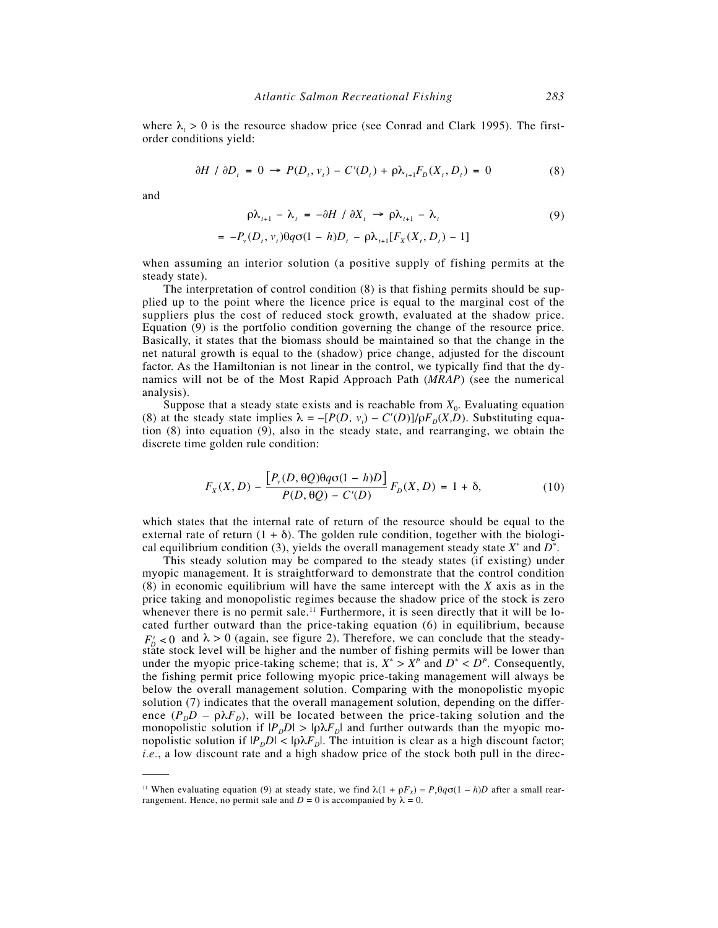where  $\lambda_t > 0$  is the resource shadow price (see Conrad and Clark 1995). The firstorder conditions yield:

$$
\partial H / \partial D_t = 0 \rightarrow P(D_t, v_t) - C'(D_t) + \rho \lambda_{t+1} F_D(X_t, D_t) = 0 \tag{8}
$$

and

$$
\rho \lambda_{t+1} - \lambda_t = -\partial H / \partial X_t \to \rho \lambda_{t+1} - \lambda_t \tag{9}
$$

$$
= -P_{v}(D_{t}, v_{t})\theta q\sigma(1-h)D_{t} - \rho\lambda_{t+1}[F_{X}(X_{t}, D_{t}) - 1]
$$

when assuming an interior solution (a positive supply of fishing permits at the steady state).

The interpretation of control condition (8) is that fishing permits should be supplied up to the point where the licence price is equal to the marginal cost of the suppliers plus the cost of reduced stock growth, evaluated at the shadow price. Equation (9) is the portfolio condition governing the change of the resource price. Basically, it states that the biomass should be maintained so that the change in the net natural growth is equal to the (shadow) price change, adjusted for the discount factor. As the Hamiltonian is not linear in the control, we typically find that the dynamics will not be of the Most Rapid Approach Path (*MRAP*) (see the numerical analysis).

Suppose that a steady state exists and is reachable from  $X_0$ . Evaluating equation (8) at the steady state implies  $\lambda = -[P(D, v_t) - C'(D)]/\rho F_D(X,D)$ . Substituting equation (8) into equation (9), also in the steady state, and rearranging, we obtain the discrete time golden rule condition:

$$
F_X(X, D) - \frac{[P_v(D, \theta Q)\theta q\sigma(1 - h)D]}{P(D, \theta Q) - C'(D)} F_D(X, D) = 1 + \delta,
$$
\n(10)

which states that the internal rate of return of the resource should be equal to the external rate of return  $(1 + \delta)$ . The golden rule condition, together with the biological equilibrium condition (3), yields the overall management steady state  $X^*$  and  $D^*$ .

This steady solution may be compared to the steady states (if existing) under myopic management. It is straightforward to demonstrate that the control condition (8) in economic equilibrium will have the same intercept with the *X* axis as in the price taking and monopolistic regimes because the shadow price of the stock is zero whenever there is no permit sale.<sup>11</sup> Furthermore, it is seen directly that it will be located further outward than the price-taking equation (6) in equilibrium, because  $F'_{p}$  < 0 and  $\lambda$  > 0 (again, see figure 2). Therefore, we can conclude that the steadystate stock level will be higher and the number of fishing permits will be lower than under the myopic price-taking scheme; that is,  $X^* > X^p$  and  $D^* < D^p$ . Consequently, the fishing permit price following myopic price-taking management will always be below the overall management solution. Comparing with the monopolistic myopic solution (7) indicates that the overall management solution, depending on the difference  $(P_D D - \rho \lambda F_D)$ , will be located between the price-taking solution and the monopolistic solution if  $|P_D D| > |\rho \lambda F_D|$  and further outwards than the myopic monopolistic solution if  $|P_D D| < |\rho \lambda F_D|$ . The intuition is clear as a high discount factor; *i.e.*, a low discount rate and a high shadow price of the stock both pull in the direc-

<sup>&</sup>lt;sup>11</sup> When evaluating equation (9) at steady state, we find  $\lambda(1 + \rho F_x) = P_y \theta q \sigma (1 - h)D$  after a small rearrangement. Hence, no permit sale and  $D = 0$  is accompanied by  $\lambda = 0$ .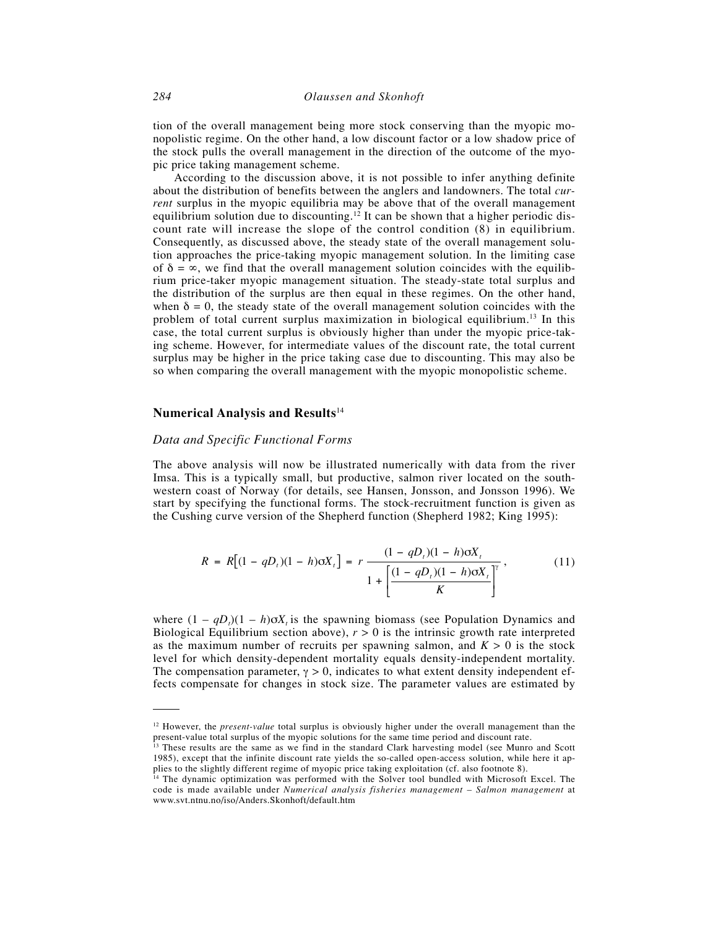tion of the overall management being more stock conserving than the myopic monopolistic regime. On the other hand, a low discount factor or a low shadow price of the stock pulls the overall management in the direction of the outcome of the myopic price taking management scheme.

According to the discussion above, it is not possible to infer anything definite about the distribution of benefits between the anglers and landowners. The total *current* surplus in the myopic equilibria may be above that of the overall management equilibrium solution due to discounting.<sup>12</sup> It can be shown that a higher periodic discount rate will increase the slope of the control condition (8) in equilibrium. Consequently, as discussed above, the steady state of the overall management solution approaches the price-taking myopic management solution. In the limiting case of  $\delta = \infty$ , we find that the overall management solution coincides with the equilibrium price-taker myopic management situation. The steady-state total surplus and the distribution of the surplus are then equal in these regimes. On the other hand, when  $\delta = 0$ , the steady state of the overall management solution coincides with the problem of total current surplus maximization in biological equilibrium.13 In this case, the total current surplus is obviously higher than under the myopic price-taking scheme. However, for intermediate values of the discount rate, the total current surplus may be higher in the price taking case due to discounting. This may also be so when comparing the overall management with the myopic monopolistic scheme.

# **Numerical Analysis and Results**<sup>14</sup>

#### *Data and Specific Functional Forms*

The above analysis will now be illustrated numerically with data from the river Imsa. This is a typically small, but productive, salmon river located on the southwestern coast of Norway (for details, see Hansen, Jonsson, and Jonsson 1996). We start by specifying the functional forms. The stock-recruitment function is given as the Cushing curve version of the Shepherd function (Shepherd 1982; King 1995):

$$
R = R[(1 - qD_t)(1 - h)\sigma X_t] = r \frac{(1 - qD_t)(1 - h)\sigma X_t}{1 + \left[\frac{(1 - qD_t)(1 - h)\sigma X_t}{K}\right]^{\gamma}},
$$
(11)

where  $(1 - qD_t)(1 - h)\sigma X_t$  is the spawning biomass (see Population Dynamics and Biological Equilibrium section above),  $r > 0$  is the intrinsic growth rate interpreted as the maximum number of recruits per spawning salmon, and  $K > 0$  is the stock level for which density-dependent mortality equals density-independent mortality. The compensation parameter,  $\gamma > 0$ , indicates to what extent density independent effects compensate for changes in stock size. The parameter values are estimated by

<sup>&</sup>lt;sup>12</sup> However, the *present-value* total surplus is obviously higher under the overall management than the present-value total surplus of the myopic solutions for the same time period and discount rate.

<sup>&</sup>lt;sup>13</sup> These results are the same as we find in the standard Clark harvesting model (see Munro and Scott 1985), except that the infinite discount rate yields the so-called open-access solution, while here it applies to the slightly different regime of myopic price taking exploitation (cf. also footnote 8).

<sup>&</sup>lt;sup>14</sup> The dynamic optimization was performed with the Solver tool bundled with Microsoft Excel. The code is made available under *Numerical analysis fisheries management – Salmon management* at www.svt.ntnu.no/iso/Anders.Skonhoft/default.htm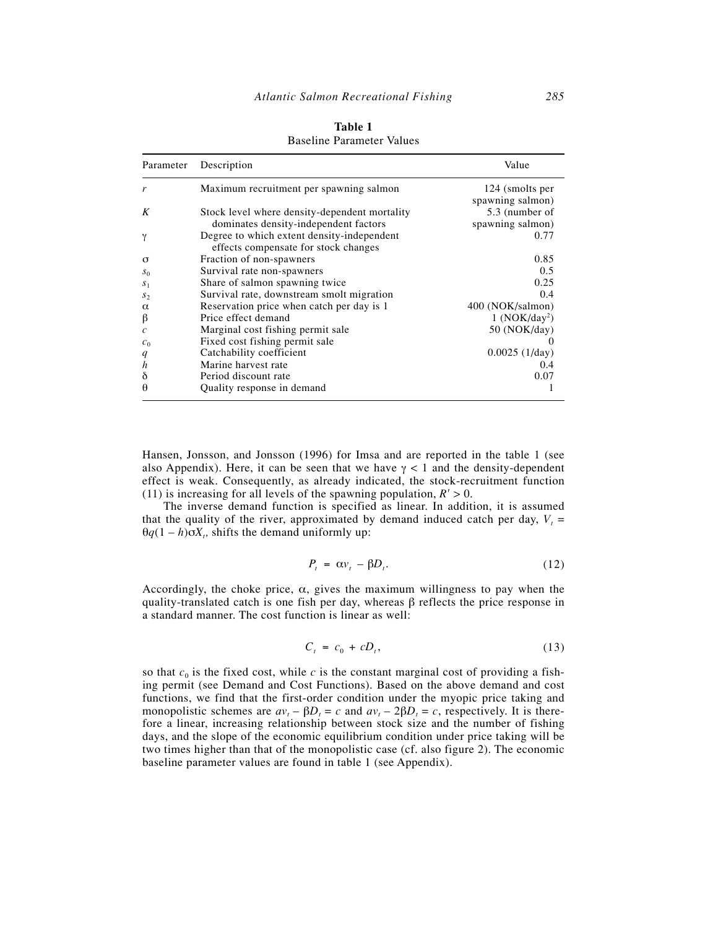| Parameter             | Description                                                                            | Value                               |
|-----------------------|----------------------------------------------------------------------------------------|-------------------------------------|
| r                     | Maximum recruitment per spawning salmon                                                | 124 (smolts per<br>spawning salmon) |
| K                     | Stock level where density-dependent mortality<br>dominates density-independent factors | 5.3 (number of<br>spawning salmon)  |
| γ                     | Degree to which extent density-independent<br>effects compensate for stock changes     | 0.77                                |
| $\sigma$              | Fraction of non-spawners                                                               | 0.85                                |
| $S_0$                 | Survival rate non-spawners                                                             | 0.5                                 |
| $S_1$                 | Share of salmon spawning twice                                                         | 0.25                                |
| $S_{2}$               | Survival rate, downstream smolt migration                                              | 0.4                                 |
| $\alpha$              | Reservation price when catch per day is 1                                              | 400 (NOK/salmon)                    |
| β                     | Price effect demand                                                                    | 1 (NOK/day <sup>2</sup> )           |
| $\mathcal{C}_{0}^{2}$ | Marginal cost fishing permit sale                                                      | 50 (NOK/day)                        |
| $c_0$                 | Fixed cost fishing permit sale                                                         |                                     |
| q                     | Catchability coefficient                                                               | 0.0025(1/day)                       |
| $\boldsymbol{h}$      | Marine harvest rate                                                                    | 0.4                                 |
| δ                     | Period discount rate                                                                   | 0.07                                |
| θ                     | Quality response in demand                                                             |                                     |

| Table 1                          |  |
|----------------------------------|--|
| <b>Baseline Parameter Values</b> |  |

Hansen, Jonsson, and Jonsson (1996) for Imsa and are reported in the table 1 (see also Appendix). Here, it can be seen that we have  $\gamma$  < 1 and the density-dependent effect is weak. Consequently, as already indicated, the stock-recruitment function (11) is increasing for all levels of the spawning population,  $R' > 0$ .

The inverse demand function is specified as linear. In addition, it is assumed that the quality of the river, approximated by demand induced catch per day,  $V_t$  =  $\theta q(1-h) \sigma X_t$ , shifts the demand uniformly up:

$$
P_t = \alpha v_t - \beta D_t. \tag{12}
$$

Accordingly, the choke price,  $\alpha$ , gives the maximum willingness to pay when the quality-translated catch is one fish per day, whereas  $\beta$  reflects the price response in a standard manner. The cost function is linear as well:

$$
C_t = c_0 + cD_t, \tag{13}
$$

so that  $c_0$  is the fixed cost, while  $c$  is the constant marginal cost of providing a fishing permit (see Demand and Cost Functions). Based on the above demand and cost functions, we find that the first-order condition under the myopic price taking and monopolistic schemes are  $av_t - \beta D_t = c$  and  $av_t - 2\beta D_t = c$ , respectively. It is therefore a linear, increasing relationship between stock size and the number of fishing days, and the slope of the economic equilibrium condition under price taking will be two times higher than that of the monopolistic case (cf. also figure 2). The economic baseline parameter values are found in table 1 (see Appendix).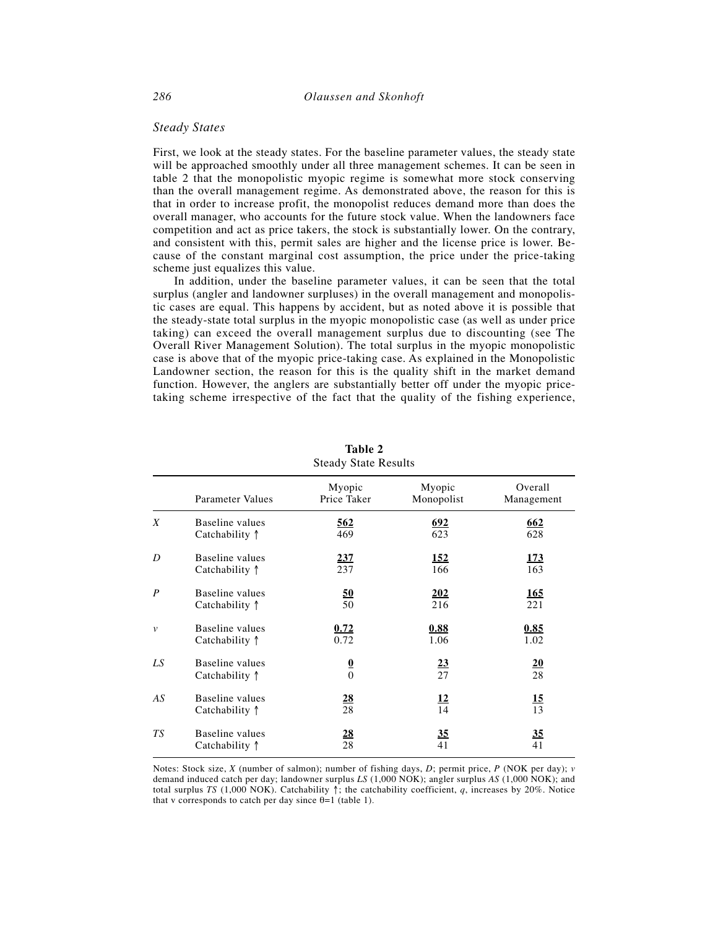## *Steady States*

First, we look at the steady states. For the baseline parameter values, the steady state will be approached smoothly under all three management schemes. It can be seen in table 2 that the monopolistic myopic regime is somewhat more stock conserving than the overall management regime. As demonstrated above, the reason for this is that in order to increase profit, the monopolist reduces demand more than does the overall manager, who accounts for the future stock value. When the landowners face competition and act as price takers, the stock is substantially lower. On the contrary, and consistent with this, permit sales are higher and the license price is lower. Because of the constant marginal cost assumption, the price under the price-taking scheme just equalizes this value.

In addition, under the baseline parameter values, it can be seen that the total surplus (angler and landowner surpluses) in the overall management and monopolistic cases are equal. This happens by accident, but as noted above it is possible that the steady-state total surplus in the myopic monopolistic case (as well as under price taking) can exceed the overall management surplus due to discounting (see The Overall River Management Solution). The total surplus in the myopic monopolistic case is above that of the myopic price-taking case. As explained in the Monopolistic Landowner section, the reason for this is the quality shift in the market demand function. However, the anglers are substantially better off under the myopic pricetaking scheme irrespective of the fact that the quality of the fishing experience,

|                  | Parameter Values                  | Myopic<br>Price Taker | Myopic<br>Monopolist | Overall<br>Management |
|------------------|-----------------------------------|-----------------------|----------------------|-----------------------|
| X                | Baseline values                   | 562                   | <u>692</u>           | 662                   |
|                  | Catchability ↑                    | 469                   | 623                  | 628                   |
| D                | Baseline values                   | 237                   | <u>152</u>           | <u>173</u>            |
|                  | Catchability ↑                    | 237                   | 166                  | 163                   |
| $\boldsymbol{P}$ | Baseline values                   | <u>50</u>             | 202                  | <u>165</u>            |
|                  | Catchability ↑                    | 50                    | 216                  | 221                   |
| $\mathcal{V}$    | Baseline values                   | 0.72                  | 0.88                 | 0.85                  |
|                  | Catchability 1                    | 0.72                  | 1.06                 | 1.02                  |
| LS               | Baseline values<br>Catchability ↑ | $\frac{0}{0}$         | $\frac{23}{27}$      | 20<br>28              |
| AS               | Baseline values                   | <u>28</u>             | <u>12</u>            | <u>15</u>             |
|                  | Catchability 1                    | 28                    | 14                   | 13                    |
| TS               | Baseline values                   | <u>28</u>             | 35                   | 35                    |
|                  | Catchability ↑                    | 28                    | 41                   | 41                    |

**Table 2** Steady State Results

Notes: Stock size, *X* (number of salmon); number of fishing days, *D*; permit price, *P* (NOK per day); *v* demand induced catch per day; landowner surplus *LS* (1,000 NOK); angler surplus *AS* (1,000 NOK); and total surplus *TS* (1,000 NOK). Catchability ↑; the catchability coefficient, *q*, increases by 20%. Notice that v corresponds to catch per day since  $\theta = 1$  (table 1).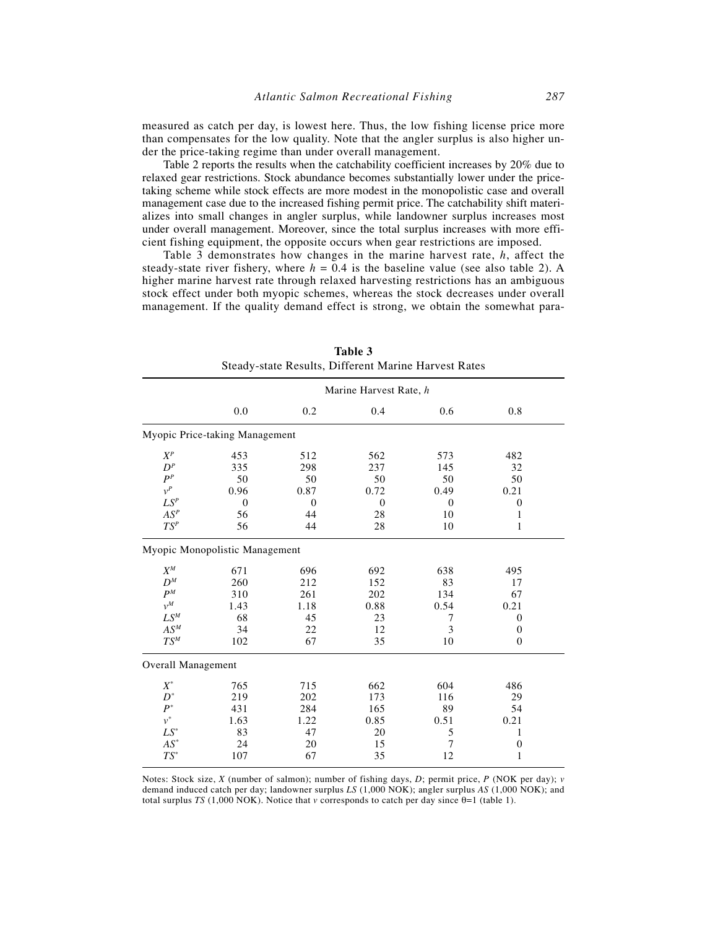measured as catch per day, is lowest here. Thus, the low fishing license price more than compensates for the low quality. Note that the angler surplus is also higher under the price-taking regime than under overall management.

Table 2 reports the results when the catchability coefficient increases by 20% due to relaxed gear restrictions. Stock abundance becomes substantially lower under the pricetaking scheme while stock effects are more modest in the monopolistic case and overall management case due to the increased fishing permit price. The catchability shift materializes into small changes in angler surplus, while landowner surplus increases most under overall management. Moreover, since the total surplus increases with more efficient fishing equipment, the opposite occurs when gear restrictions are imposed.

Table 3 demonstrates how changes in the marine harvest rate, *h*, affect the steady-state river fishery, where  $h = 0.4$  is the baseline value (see also table 2). A higher marine harvest rate through relaxed harvesting restrictions has an ambiguous stock effect under both myopic schemes, whereas the stock decreases under overall management. If the quality demand effect is strong, we obtain the somewhat para-

|                     | Steady-state Results, Different Marine Harvest Rates |          |          |              |                  |  |  |
|---------------------|------------------------------------------------------|----------|----------|--------------|------------------|--|--|
|                     | Marine Harvest Rate, h                               |          |          |              |                  |  |  |
|                     | 0.0                                                  | 0.2      | 0.4      | 0.6          | 0.8              |  |  |
|                     | Myopic Price-taking Management                       |          |          |              |                  |  |  |
| $X^P$               | 453                                                  | 512      | 562      | 573          | 482              |  |  |
| $D^P$               | 335                                                  | 298      | 237      | 145          | 32               |  |  |
| $P^P$               | 50                                                   | 50       | 50       | 50           | 50               |  |  |
| $v^P$               | 0.96                                                 | 0.87     | 0.72     | 0.49         | 0.21             |  |  |
| ${\cal L}S^P$       | $\theta$                                             | $\theta$ | $\theta$ | $\mathbf{0}$ | $\boldsymbol{0}$ |  |  |
| $AS^{\mathfrak{p}}$ | 56                                                   | 44       | 28       | 10           | 1                |  |  |
| $TS^P$              | 56                                                   | 44       | 28       | 10           | $\mathbf{1}$     |  |  |
|                     | Myopic Monopolistic Management                       |          |          |              |                  |  |  |
| $X^M$               | 671                                                  | 696      | 692      | 638          | 495              |  |  |
| $D^M$               | 260                                                  | 212      | 152      | 83           | 17               |  |  |
| $P^M$               | 310                                                  | 261      | 202      | 134          | 67               |  |  |
| $v^M$               | 1.43                                                 | 1.18     | 0.88     | 0.54         | 0.21             |  |  |
| $LS^M$              | 68                                                   | 45       | 23       | 7            | $\overline{0}$   |  |  |
| $AS^M$              | 34                                                   | 22       | 12       | 3            | $\mathbf{0}$     |  |  |
| $TS^M$              | 102                                                  | 67       | 35       | 10           | $\overline{0}$   |  |  |
| Overall Management  |                                                      |          |          |              |                  |  |  |
| $X^*$               | 765                                                  | 715      | 662      | 604          | 486              |  |  |
| $D^*$               | 219                                                  | 202      | 173      | 116          | 29               |  |  |
| $P^*$               | 431                                                  | 284      | 165      | 89           | 54               |  |  |
| $v^*$               | 1.63                                                 | 1.22     | 0.85     | 0.51         | 0.21             |  |  |
| $LS^*$              | 83                                                   | 47       | 20       | 5            | $\mathbf{1}$     |  |  |
| $AS^\ast$           | 24                                                   | 20       | 15       | 7            | $\boldsymbol{0}$ |  |  |
| $TS^*$              | 107                                                  | 67       | 35       | 12           | 1                |  |  |
|                     |                                                      |          |          |              |                  |  |  |

**Table 3** Steady-state Results, Different Marine Harvest Rates

Notes: Stock size, *X* (number of salmon); number of fishing days, *D*; permit price, *P* (NOK per day); *v* demand induced catch per day; landowner surplus *LS* (1,000 NOK); angler surplus *AS* (1,000 NOK); and total surplus *TS* (1,000 NOK). Notice that *v* corresponds to catch per day since  $\theta=1$  (table 1).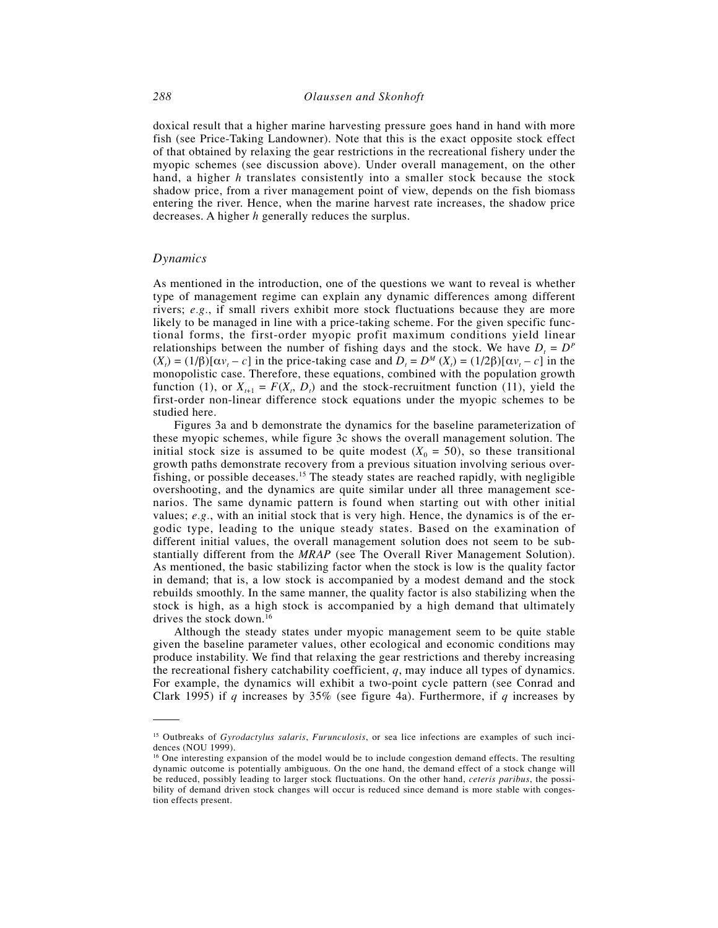doxical result that a higher marine harvesting pressure goes hand in hand with more fish (see Price-Taking Landowner). Note that this is the exact opposite stock effect of that obtained by relaxing the gear restrictions in the recreational fishery under the myopic schemes (see discussion above). Under overall management, on the other hand, a higher *h* translates consistently into a smaller stock because the stock shadow price, from a river management point of view, depends on the fish biomass entering the river. Hence, when the marine harvest rate increases, the shadow price decreases. A higher *h* generally reduces the surplus.

# *Dynamics*

As mentioned in the introduction, one of the questions we want to reveal is whether type of management regime can explain any dynamic differences among different rivers; *e.g.*, if small rivers exhibit more stock fluctuations because they are more likely to be managed in line with a price-taking scheme. For the given specific functional forms, the first-order myopic profit maximum conditions yield linear relationships between the number of fishing days and the stock. We have  $D_t = D^P$  $(X_t) = (1/\beta)[\alpha v_t - c]$  in the price-taking case and  $D_t = D^M(X_t) = (1/2\beta)[\alpha v_t - c]$  in the monopolistic case. Therefore, these equations, combined with the population growth function (1), or  $X_{t+1} = F(X_t, D_t)$  and the stock-recruitment function (11), yield the first-order non-linear difference stock equations under the myopic schemes to be studied here.

Figures 3a and b demonstrate the dynamics for the baseline parameterization of these myopic schemes, while figure 3c shows the overall management solution. The initial stock size is assumed to be quite modest  $(X_0 = 50)$ , so these transitional growth paths demonstrate recovery from a previous situation involving serious overfishing, or possible deceases.<sup>15</sup> The steady states are reached rapidly, with negligible overshooting, and the dynamics are quite similar under all three management scenarios. The same dynamic pattern is found when starting out with other initial values; *e.g.*, with an initial stock that is very high. Hence, the dynamics is of the ergodic type, leading to the unique steady states. Based on the examination of different initial values, the overall management solution does not seem to be substantially different from the *MRAP* (see The Overall River Management Solution). As mentioned, the basic stabilizing factor when the stock is low is the quality factor in demand; that is, a low stock is accompanied by a modest demand and the stock rebuilds smoothly. In the same manner, the quality factor is also stabilizing when the stock is high, as a high stock is accompanied by a high demand that ultimately drives the stock down.<sup>16</sup>

Although the steady states under myopic management seem to be quite stable given the baseline parameter values, other ecological and economic conditions may produce instability. We find that relaxing the gear restrictions and thereby increasing the recreational fishery catchability coefficient, *q*, may induce all types of dynamics. For example, the dynamics will exhibit a two-point cycle pattern (see Conrad and Clark 1995) if *q* increases by 35% (see figure 4a). Furthermore, if *q* increases by

<sup>15</sup> Outbreaks of *Gyrodactylus salaris*, *Furunculosis*, or sea lice infections are examples of such incidences (NOU 1999).

<sup>&</sup>lt;sup>16</sup> One interesting expansion of the model would be to include congestion demand effects. The resulting dynamic outcome is potentially ambiguous. On the one hand, the demand effect of a stock change will be reduced, possibly leading to larger stock fluctuations. On the other hand, *ceteris paribus*, the possibility of demand driven stock changes will occur is reduced since demand is more stable with congestion effects present.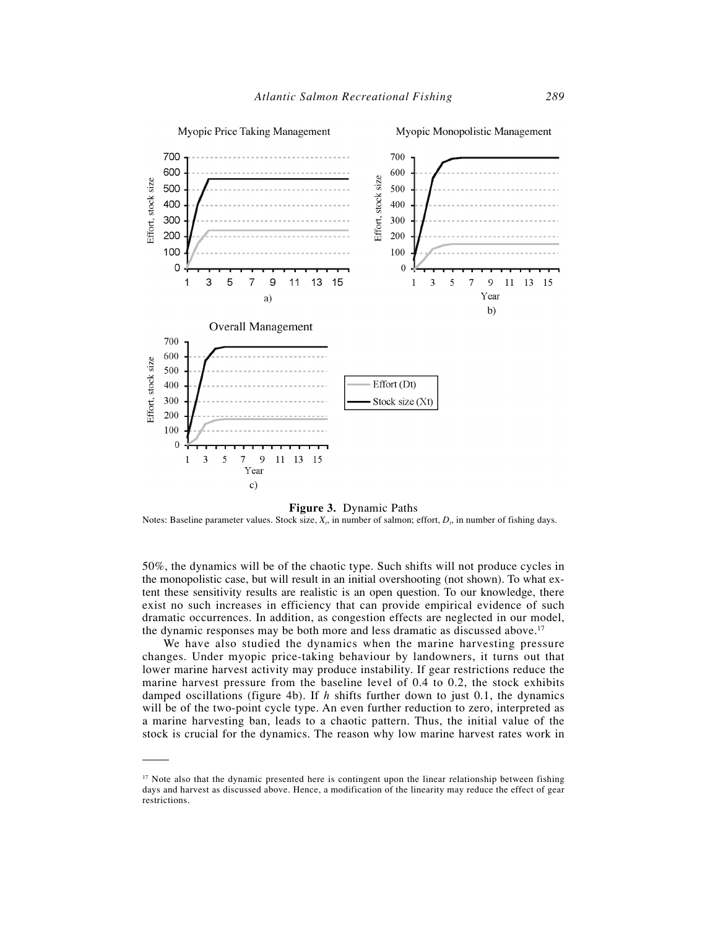

**Figure 3.** Dynamic Paths

Notes: Baseline parameter values. Stock size,  $X_i$ , in number of salmon; effort,  $D_i$ , in number of fishing days.

50%, the dynamics will be of the chaotic type. Such shifts will not produce cycles in the monopolistic case, but will result in an initial overshooting (not shown). To what extent these sensitivity results are realistic is an open question. To our knowledge, there exist no such increases in efficiency that can provide empirical evidence of such dramatic occurrences. In addition, as congestion effects are neglected in our model, the dynamic responses may be both more and less dramatic as discussed above.<sup>17</sup>

We have also studied the dynamics when the marine harvesting pressure changes. Under myopic price-taking behaviour by landowners, it turns out that lower marine harvest activity may produce instability. If gear restrictions reduce the marine harvest pressure from the baseline level of 0.4 to 0.2, the stock exhibits damped oscillations (figure 4b). If *h* shifts further down to just 0.1, the dynamics will be of the two-point cycle type. An even further reduction to zero, interpreted as a marine harvesting ban, leads to a chaotic pattern. Thus, the initial value of the stock is crucial for the dynamics. The reason why low marine harvest rates work in

<sup>&</sup>lt;sup>17</sup> Note also that the dynamic presented here is contingent upon the linear relationship between fishing days and harvest as discussed above. Hence, a modification of the linearity may reduce the effect of gear restrictions.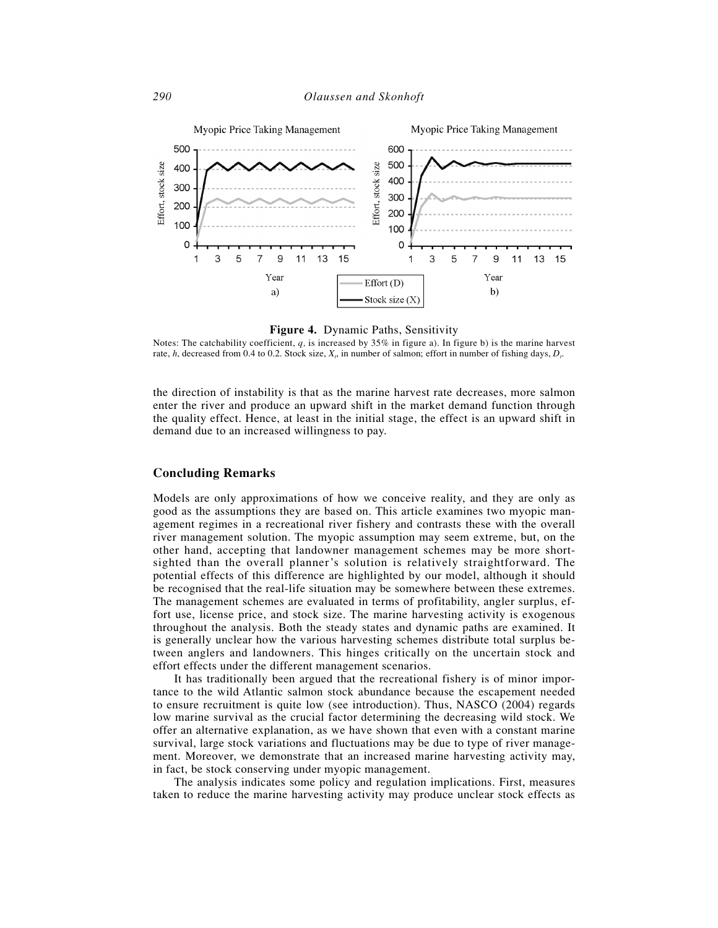

**Figure 4.** Dynamic Paths, Sensitivity

Notes: The catchability coefficient, *q,* is increased by 35% in figure a). In figure b) is the marine harvest rate, *h*, decreased from 0.4 to 0.2. Stock size,  $X_i$ , in number of salmon; effort in number of fishing days,  $D_i$ .

the direction of instability is that as the marine harvest rate decreases, more salmon enter the river and produce an upward shift in the market demand function through the quality effect. Hence, at least in the initial stage, the effect is an upward shift in demand due to an increased willingness to pay.

# **Concluding Remarks**

Models are only approximations of how we conceive reality, and they are only as good as the assumptions they are based on. This article examines two myopic management regimes in a recreational river fishery and contrasts these with the overall river management solution. The myopic assumption may seem extreme, but, on the other hand, accepting that landowner management schemes may be more shortsighted than the overall planner's solution is relatively straightforward. The potential effects of this difference are highlighted by our model, although it should be recognised that the real-life situation may be somewhere between these extremes. The management schemes are evaluated in terms of profitability, angler surplus, effort use, license price, and stock size. The marine harvesting activity is exogenous throughout the analysis. Both the steady states and dynamic paths are examined. It is generally unclear how the various harvesting schemes distribute total surplus between anglers and landowners. This hinges critically on the uncertain stock and effort effects under the different management scenarios.

It has traditionally been argued that the recreational fishery is of minor importance to the wild Atlantic salmon stock abundance because the escapement needed to ensure recruitment is quite low (see introduction). Thus, NASCO (2004) regards low marine survival as the crucial factor determining the decreasing wild stock. We offer an alternative explanation, as we have shown that even with a constant marine survival, large stock variations and fluctuations may be due to type of river management. Moreover, we demonstrate that an increased marine harvesting activity may, in fact, be stock conserving under myopic management.

The analysis indicates some policy and regulation implications. First, measures taken to reduce the marine harvesting activity may produce unclear stock effects as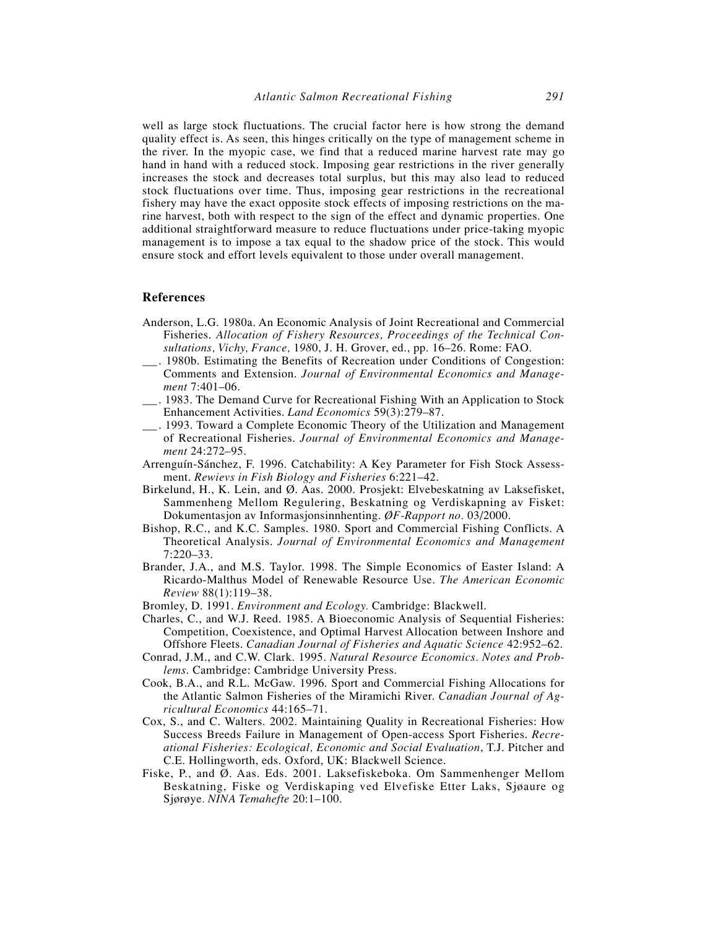well as large stock fluctuations. The crucial factor here is how strong the demand quality effect is. As seen, this hinges critically on the type of management scheme in the river. In the myopic case, we find that a reduced marine harvest rate may go hand in hand with a reduced stock. Imposing gear restrictions in the river generally increases the stock and decreases total surplus, but this may also lead to reduced stock fluctuations over time. Thus, imposing gear restrictions in the recreational fishery may have the exact opposite stock effects of imposing restrictions on the marine harvest, both with respect to the sign of the effect and dynamic properties. One additional straightforward measure to reduce fluctuations under price-taking myopic management is to impose a tax equal to the shadow price of the stock. This would ensure stock and effort levels equivalent to those under overall management.

## **References**

- Anderson, L.G. 1980a. An Economic Analysis of Joint Recreational and Commercial Fisheries. *Allocation of Fishery Resources, Proceedings of the Technical Consultations, Vichy, France,* 1*98*0, J. H. Grover, ed., pp. 16–26. Rome: FAO.
- \_. 1980b. Estimating the Benefits of Recreation under Conditions of Congestion: Comments and Extension. *Journal of Environmental Economics and Management* 7:401–06.
- \_. 1983. The Demand Curve for Recreational Fishing With an Application to Stock Enhancement Activities. *Land Economics* 59(3):279–87.
- \_. 1993. Toward a Complete Economic Theory of the Utilization and Management of Recreational Fisheries. *Journal of Environmental Economics and Management* 24:272–95.
- Arrenguín-Sánchez, F. 1996. Catchability: A Key Parameter for Fish Stock Assessment. *Rewievs in Fish Biology and Fisheries* 6:221–42.
- Birkelund, H., K. Lein, and Ø. Aas. 2000. Prosjekt: Elvebeskatning av Laksefisket, Sammenheng Mellom Regulering, Beskatning og Verdiskapning av Fisket: Dokumentasjon av Informasjonsinnhenting. *ØF-Rapport no.* 03/2000.
- Bishop, R.C., and K.C. Samples. 1980. Sport and Commercial Fishing Conflicts. A Theoretical Analysis. *Journal of Environmental Economics and Management* 7:220–33.
- Brander, J.A., and M.S. Taylor. 1998. The Simple Economics of Easter Island: A Ricardo-Malthus Model of Renewable Resource Use. *The American Economic Review* 88(1):119–38.
- Bromley, D. 1991. *Environment and Ecology.* Cambridge: Blackwell.
- Charles, C., and W.J. Reed. 1985. A Bioeconomic Analysis of Sequential Fisheries: Competition, Coexistence, and Optimal Harvest Allocation between Inshore and Offshore Fleets. *Canadian Journal of Fisheries and Aquatic Science* 42:952–62.
- Conrad, J.M., and C.W. Clark. 1995. *Natural Resource Economics. Notes and Problems*. Cambridge: Cambridge University Press.
- Cook, B.A., and R.L. McGaw. 1996. Sport and Commercial Fishing Allocations for the Atlantic Salmon Fisheries of the Miramichi River. *Canadian Journal of Agricultural Economics* 44:165–71.
- Cox, S., and C. Walters. 2002. Maintaining Quality in Recreational Fisheries: How Success Breeds Failure in Management of Open-access Sport Fisheries. *Recreational Fisheries: Ecological, Economic and Social Evaluation*, T.J. Pitcher and C.E. Hollingworth, eds. Oxford, UK: Blackwell Science.
- Fiske, P., and Ø. Aas. Eds. 2001. Laksefiskeboka. Om Sammenhenger Mellom Beskatning, Fiske og Verdiskaping ved Elvefiske Etter Laks, Sjøaure og Sjørøye*. NINA Temahefte* 20:1–100.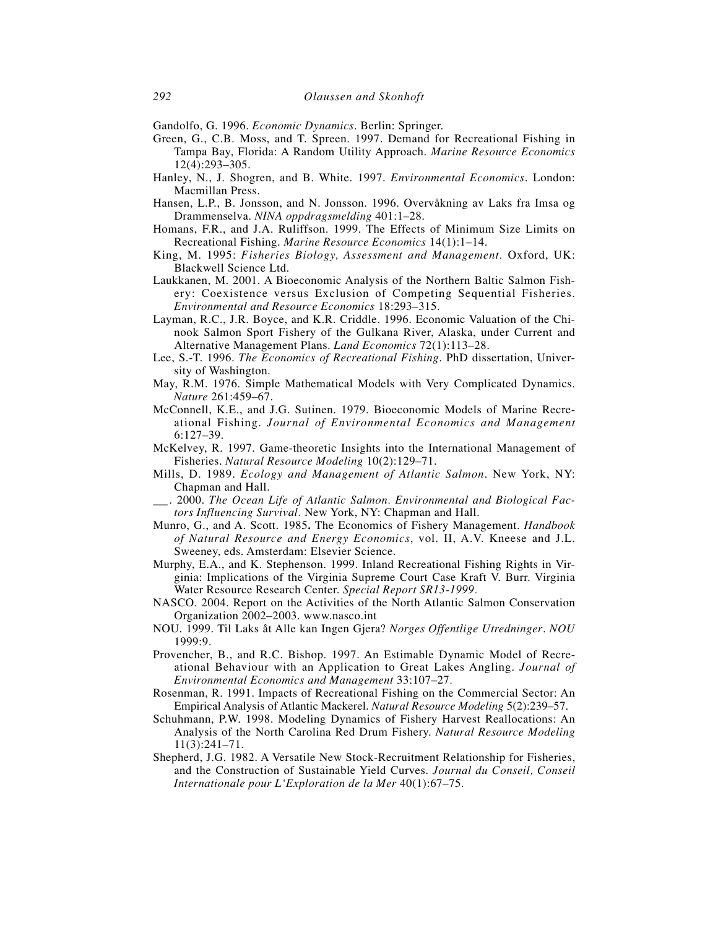Gandolfo, G. 1996. *Economic Dynamics*. Berlin: Springer.

- Green, G., C.B. Moss, and T. Spreen. 1997. Demand for Recreational Fishing in Tampa Bay, Florida: A Random Utility Approach. *Marine Resource Economics* 12(4):293–305.
- Hanley, N., J. Shogren, and B. White. 1997. *Environmental Economics*. London: Macmillan Press.
- Hansen, L.P., B. Jonsson, and N. Jonsson. 1996. Overvåkning av Laks fra Imsa og Drammenselva. *NINA oppdragsmelding* 401:1–28.
- Homans, F.R., and J.A. Ruliffson. 1999. The Effects of Minimum Size Limits on Recreational Fishing. *Marine Resource Economics* 14(1):1–14.
- King, M. 1995: *Fisheries Biology, Assessment and Management.* Oxford, UK: Blackwell Science Ltd.
- Laukkanen, M. 2001. A Bioeconomic Analysis of the Northern Baltic Salmon Fishery: Coexistence versus Exclusion of Competing Sequential Fisheries. *Environmental and Resource Economics* 18:293–315.
- Layman, R.C., J.R. Boyce, and K.R. Criddle. 1996. Economic Valuation of the Chinook Salmon Sport Fishery of the Gulkana River, Alaska, under Current and Alternative Management Plans. *Land Economics* 72(1):113–28.
- Lee, S.-T. 1996. *The Economics of Recreational Fishing*. PhD dissertation, University of Washington.
- May, R.M. 1976. Simple Mathematical Models with Very Complicated Dynamics. *Nature* 261:459–67.
- McConnell, K.E., and J.G. Sutinen. 1979. Bioeconomic Models of Marine Recreational Fishing. *Journal of Environmental Economics and Management* 6:127–39.
- McKelvey, R. 1997. Game-theoretic Insights into the International Management of Fisheries. *Natural Resource Modeling* 10(2):129–71.
- Mills, D. 1989. *Ecology and Management of Atlantic Salmon*. New York, NY: Chapman and Hall.
- \_. 2000. *The Ocean Life of Atlantic Salmon. Environmental and Biological Factors Influencing Survival.* New York, NY: Chapman and Hall.
- Munro, G., and A. Scott. 1985**.** The Economics of Fishery Management. *Handbook of Natural Resource and Energy Economics*, vol. II, A.V. Kneese and J.L. Sweeney, eds. Amsterdam: Elsevier Science.
- Murphy, E.A., and K. Stephenson. 1999. Inland Recreational Fishing Rights in Virginia: Implications of the Virginia Supreme Court Case Kraft V. Burr. Virginia Water Resource Research Center. *Special Report SR13-1999.*
- NASCO. 2004. Report on the Activities of the North Atlantic Salmon Conservation Organization 2002–2003. www.nasco.int
- NOU. 1999. Til Laks åt Alle kan Ingen Gjera? *Norges Offentlige Utredninger*. *NOU* 1999:9.
- Provencher, B., and R.C. Bishop. 1997. An Estimable Dynamic Model of Recreational Behaviour with an Application to Great Lakes Angling. *Journal of Environmental Economics and Management* 33:107–27*.*
- Rosenman, R. 1991. Impacts of Recreational Fishing on the Commercial Sector: An Empirical Analysis of Atlantic Mackerel. *Natural Resource Modeling* 5(2):239–57.
- Schuhmann, P.W. 1998. Modeling Dynamics of Fishery Harvest Reallocations: An Analysis of the North Carolina Red Drum Fishery. *Natural Resource Modeling* 11(3):241–71.
- Shepherd, J.G. 1982. A Versatile New Stock-Recruitment Relationship for Fisheries, and the Construction of Sustainable Yield Curves. *Journal du Conseil, Conseil Internationale pour L'Exploration de la Mer* 40(1):67–75.